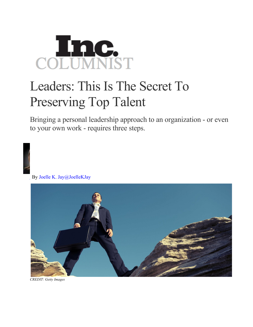

## Leaders: This Is The Secret To Preserving Top Talent

Bringing a personal leadership approach to an organization - or even to your own work - requires three steps.

By Joelle K. Jay@JoelleKJay



*CREDIT: Getty Images*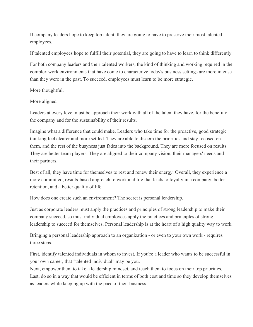If company leaders hope to keep top talent, they are going to have to preserve their most talented employees.

If talented employees hope to fulfill their potential, they are going to have to learn to think differently.

For both company leaders and their talented workers, the kind of thinking and working required in the complex work environments that have come to characterize today's business settings are more intense than they were in the past. To succeed, employees must learn to be more strategic.

More thoughtful.

## More aligned.

Leaders at every level must be approach their work with all of the talent they have, for the benefit of the company and for the sustainability of their results.

Imagine what a difference that could make. Leaders who take time for the proactive, good strategic thinking feel clearer and more settled. They are able to discern the priorities and stay focused on them, and the rest of the busyness just fades into the background. They are more focused on results. They are better team players. They are aligned to their company vision, their managers' needs and their partners.

Best of all, they have time for themselves to rest and renew their energy. Overall, they experience a more committed, results-based approach to work and life that leads to loyalty in a company, better retention, and a better quality of life.

How does one create such an environment? The secret is personal leadership.

Just as corporate leaders must apply the practices and principles of strong leadership to make their company succeed, so must individual employees apply the practices and principles of strong leadership to succeed for themselves. Personal leadership is at the heart of a high quality way to work.

Bringing a personal leadership approach to an organization - or even to your own work - requires three steps.

First, identify talented individuals in whom to invest. If you're a leader who wants to be successful in your own career, that "talented individual" may be you.

Next, empower them to take a leadership mindset, and teach them to focus on their top priorities. Last, do so in a way that would be efficient in terms of both cost and time so they develop themselves as leaders while keeping up with the pace of their business.